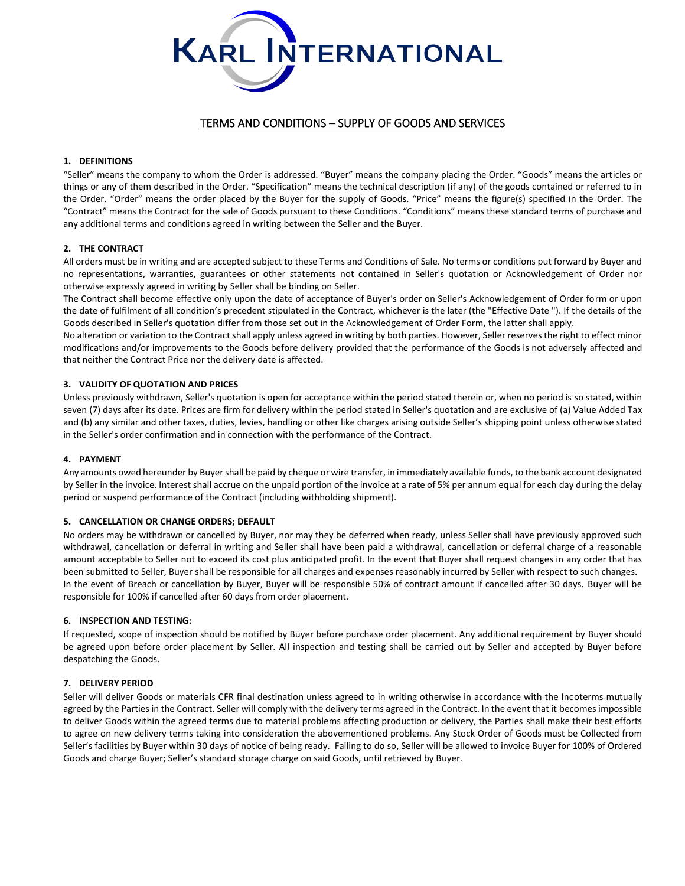

# TERMS AND CONDITIONS – SUPPLY OF GOODS AND SERVICES

# **1. DEFINITIONS**

"Seller" means the company to whom the Order is addressed. "Buyer" means the company placing the Order. "Goods" means the articles or things or any of them described in the Order. "Specification" means the technical description (if any) of the goods contained or referred to in the Order. "Order" means the order placed by the Buyer for the supply of Goods. "Price" means the figure(s) specified in the Order. The "Contract" means the Contract for the sale of Goods pursuant to these Conditions. "Conditions" means these standard terms of purchase and any additional terms and conditions agreed in writing between the Seller and the Buyer.

# **2. THE CONTRACT**

All orders must be in writing and are accepted subject to these Terms and Conditions of Sale. No terms or conditions put forward by Buyer and no representations, warranties, guarantees or other statements not contained in Seller's quotation or Acknowledgement of Order nor otherwise expressly agreed in writing by Seller shall be binding on Seller.

The Contract shall become effective only upon the date of acceptance of Buyer's order on Seller's Acknowledgement of Order form or upon the date of fulfilment of all condition's precedent stipulated in the Contract, whichever is the later (the "Effective Date "). If the details of the Goods described in Seller's quotation differ from those set out in the Acknowledgement of Order Form, the latter shall apply.

No alteration or variation to the Contract shall apply unless agreed in writing by both parties. However, Seller reserves the right to effect minor modifications and/or improvements to the Goods before delivery provided that the performance of the Goods is not adversely affected and that neither the Contract Price nor the delivery date is affected.

# **3. VALIDITY OF QUOTATION AND PRICES**

Unless previously withdrawn, Seller's quotation is open for acceptance within the period stated therein or, when no period is so stated, within seven (7) days after its date. Prices are firm for delivery within the period stated in Seller's quotation and are exclusive of (a) Value Added Tax and (b) any similar and other taxes, duties, levies, handling or other like charges arising outside Seller's shipping point unless otherwise stated in the Seller's order confirmation and in connection with the performance of the Contract.

## **4. PAYMENT**

Any amounts owed hereunder by Buyer shall be paid by cheque or wire transfer, in immediately available funds, to the bank account designated by Seller in the invoice. Interest shall accrue on the unpaid portion of the invoice at a rate of 5% per annum equal for each day during the delay period or suspend performance of the Contract (including withholding shipment).

#### **5. CANCELLATION OR CHANGE ORDERS; DEFAULT**

No orders may be withdrawn or cancelled by Buyer, nor may they be deferred when ready, unless Seller shall have previously approved such withdrawal, cancellation or deferral in writing and Seller shall have been paid a withdrawal, cancellation or deferral charge of a reasonable amount acceptable to Seller not to exceed its cost plus anticipated profit. In the event that Buyer shall request changes in any order that has been submitted to Seller, Buyer shall be responsible for all charges and expenses reasonably incurred by Seller with respect to such changes. In the event of Breach or cancellation by Buyer, Buyer will be responsible 50% of contract amount if cancelled after 30 days. Buyer will be responsible for 100% if cancelled after 60 days from order placement.

#### **6. INSPECTION AND TESTING:**

If requested, scope of inspection should be notified by Buyer before purchase order placement. Any additional requirement by Buyer should be agreed upon before order placement by Seller. All inspection and testing shall be carried out by Seller and accepted by Buyer before despatching the Goods.

#### **7. DELIVERY PERIOD**

Seller will deliver Goods or materials CFR final destination unless agreed to in writing otherwise in accordance with the Incoterms mutually agreed by the Parties in the Contract. Seller will comply with the delivery terms agreed in the Contract. In the event that it becomes impossible to deliver Goods within the agreed terms due to material problems affecting production or delivery, the Parties shall make their best efforts to agree on new delivery terms taking into consideration the abovementioned problems. Any Stock Order of Goods must be Collected from Seller's facilities by Buyer within 30 days of notice of being ready. Failing to do so, Seller will be allowed to invoice Buyer for 100% of Ordered Goods and charge Buyer; Seller's standard storage charge on said Goods, until retrieved by Buyer.